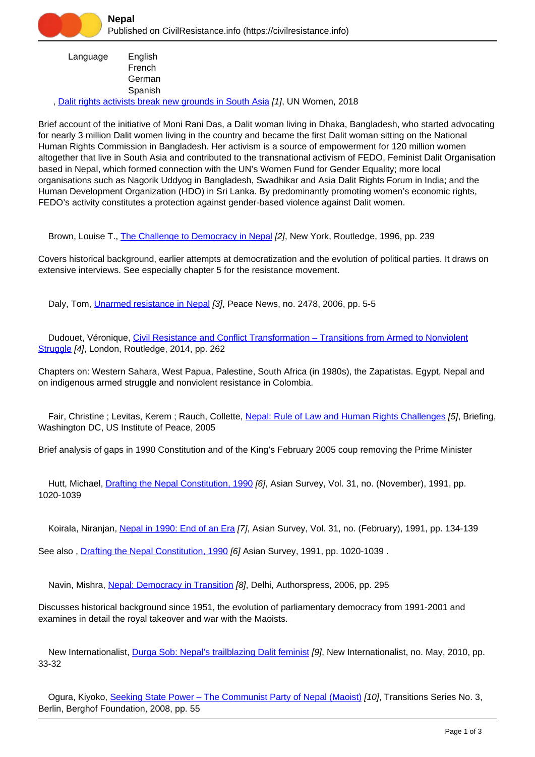Language English French **German** Spanish

, [Dalit rights activists break new grounds in South Asia](https://civilresistance.info/biblio-item/2018/dalit-rights-activists-break-new-grounds-south-asia) [1], UN Women, 2018

Brief account of the initiative of Moni Rani Das, a Dalit woman living in Dhaka, Bangladesh, who started advocating for nearly 3 million Dalit women living in the country and became the first Dalit woman sitting on the National Human Rights Commission in Bangladesh. Her activism is a source of empowerment for 120 million women altogether that live in South Asia and contributed to the transnational activism of FEDO, Feminist Dalit Organisation based in Nepal, which formed connection with the UN's Women Fund for Gender Equality; more local organisations such as Nagorik Uddyog in Bangladesh, Swadhikar and Asia Dalit Rights Forum in India; and the Human Development Organization (HDO) in Sri Lanka. By predominantly promoting women's economic rights, FEDO's activity constitutes a protection against gender-based violence against Dalit women.

Brown, Louise T., [The Challenge to Democracy in Nepal](https://civilresistance.info/biblio-item/1996/challenge-democracy-nepal) [2], New York, Routledge, 1996, pp. 239

Covers historical background, earlier attempts at democratization and the evolution of political parties. It draws on extensive interviews. See especially chapter 5 for the resistance movement.

Daly, Tom, *[Unarmed resistance in Nepal](https://civilresistance.info/biblio-item/2006/unarmed-resistance-nepal) [3]*, Peace News, no. 2478, 2006, pp. 5-5

Dudouet, Véronique, [Civil Resistance and Conflict Transformation – Transitions from Armed to Nonviolent](https://civilresistance.info/biblio-item/2014/civil-resistance-and-conflict-transformation-transitions-armed-nonviolent-struggle) [Struggle](https://civilresistance.info/biblio-item/2014/civil-resistance-and-conflict-transformation-transitions-armed-nonviolent-struggle) [4], London, Routledge, 2014, pp. 262

Chapters on: Western Sahara, West Papua, Palestine, South Africa (in 1980s), the Zapatistas. Egypt, Nepal and on indigenous armed struggle and nonviolent resistance in Colombia.

 Fair, Christine ; Levitas, Kerem ; Rauch, Collette, [Nepal: Rule of Law and Human Rights Challenges](https://civilresistance.info/biblio-item/2005/nepal-rule-law-and-human-rights-challenges) [5], Briefing, Washington DC, US Institute of Peace, 2005

Brief analysis of gaps in 1990 Constitution and of the King's February 2005 coup removing the Prime Minister

Hutt, Michael, [Drafting the Nepal Constitution, 1990](https://civilresistance.info/biblio-item/1991/drafting-nepal-constitution-1990) [6], Asian Survey, Vol. 31, no. (November), 1991, pp. 1020-1039

Koirala, Niranjan, [Nepal in 1990: End of an Era](https://civilresistance.info/biblio-item/1991/nepal-1990-end-era) [7], Asian Survey, Vol. 31, no. (February), 1991, pp. 134-139

See also , [Drafting the Nepal Constitution, 1990](https://civilresistance.info/biblio-item/1991/drafting-nepal-constitution-1990) [6] Asian Survey, 1991, pp. 1020-1039 .

Navin, Mishra, [Nepal: Democracy in Transition](https://civilresistance.info/biblio-item/2006/nepal-democracy-transition) [8], Delhi, Authorspress, 2006, pp. 295

Discusses historical background since 1951, the evolution of parliamentary democracy from 1991-2001 and examines in detail the royal takeover and war with the Maoists.

New Internationalist, [Durga Sob: Nepal's trailblazing Dalit feminist](https://civilresistance.info/biblio-item/2010/durga-sob-nepals-trailblazing-dalit-feminist) [9], New Internationalist, no. May, 2010, pp. 33-32

Ogura, Kiyoko, Seeking State Power - The Communist Party of Nepal (Maoist) [10], Transitions Series No. 3, Berlin, Berghof Foundation, 2008, pp. 55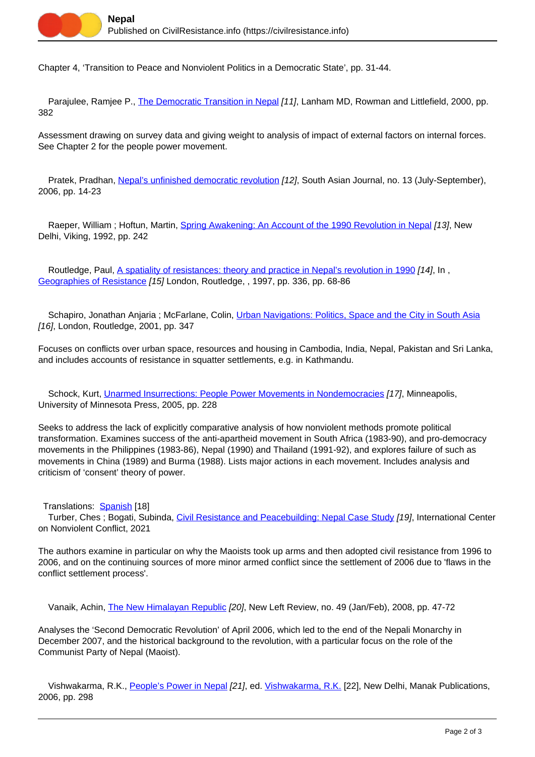Chapter 4, 'Transition to Peace and Nonviolent Politics in a Democratic State', pp. 31-44.

Parajulee, Ramjee P., *[The Democratic Transition in Nepal](https://civilresistance.info/biblio-item/2000/democratic-transition-nepal) [11]*, Lanham MD, Rowman and Littlefield, 2000, pp. 382

Assessment drawing on survey data and giving weight to analysis of impact of external factors on internal forces. See Chapter 2 for the people power movement.

Pratek, Pradhan, [Nepal's unfinished democratic revolution](https://civilresistance.info/biblio-item/2006/nepals-unfinished-democratic-revolution) [12], South Asian Journal, no. 13 (July-September), 2006, pp. 14-23

Raeper, William ; Hoftun, Martin, [Spring Awakening: An Account of the 1990 Revolution in Nepal](https://civilresistance.info/biblio-item/1992/spring-awakening-account-1990-revolution-nepal) [13], New Delhi, Viking, 1992, pp. 242

Routledge, Paul, [A spatiality of resistances: theory and practice in Nepal's revolution in 1990](https://civilresistance.info/biblio-item/1997/spatiality-resistances-theory-and-practice-nepals-revolution-1990) [14], In, [Geographies of Resistance](https://civilresistance.info/biblio-item/1997/geographies-resistance) [15] London, Routledge, , 1997, pp. 336, pp. 68-86

 Schapiro, Jonathan Anjaria ; McFarlane, Colin, [Urban Navigations: Politics, Space and the City in South Asia](https://civilresistance.info/biblio-item/2001/urban-navigations-politics-space-and-city-south-asia) [16], London, Routledge, 2001, pp. 347

Focuses on conflicts over urban space, resources and housing in Cambodia, India, Nepal, Pakistan and Sri Lanka, and includes accounts of resistance in squatter settlements, e.g. in Kathmandu.

Schock, Kurt, [Unarmed Insurrections: People Power Movements in Nondemocracies](https://civilresistance.info/biblio-item/2005/unarmed-insurrections-people-power-movements-nondemocracies) [17], Minneapolis, University of Minnesota Press, 2005, pp. 228

Seeks to address the lack of explicitly comparative analysis of how nonviolent methods promote political transformation. Examines success of the anti-apartheid movement in South Africa (1983-90), and pro-democracy movements in the Philippines (1983-86), Nepal (1990) and Thailand (1991-92), and explores failure of such as movements in China (1989) and Burma (1988). Lists major actions in each movement. Includes analysis and criticism of 'consent' theory of power.

Translations: **[Spanish](https://civilresistance.info/biblio-item/2008/insurrecciones-no-armadas)** [18]

 Turber, Ches ; Bogati, Subinda, [Civil Resistance and Peacebuilding: Nepal Case Study](https://civilresistance.info/biblio-item/2021/civil-resistance-and-peacebuilding-nepal-case-study) [19], International Center on Nonviolent Conflict, 2021

The authors examine in particular on why the Maoists took up arms and then adopted civil resistance from 1996 to 2006, and on the continuing sources of more minor armed conflict since the settlement of 2006 due to 'flaws in the conflict settlement process'.

Vanaik, Achin, [The New Himalayan Republic](https://civilresistance.info/biblio-item/2008/new-himalayan-republic) [20], New Left Review, no. 49 (Jan/Feb), 2008, pp. 47-72

Analyses the 'Second Democratic Revolution' of April 2006, which led to the end of the Nepali Monarchy in December 2007, and the historical background to the revolution, with a particular focus on the role of the Communist Party of Nepal (Maoist).

Vishwakarma, R.K., [People's Power in Nepal](https://civilresistance.info/biblio-item/2006/peoples-power-nepal) [21], ed. [Vishwakarma, R.K.](https://civilresistance.info/author/803) [22], New Delhi, Manak Publications, 2006, pp. 298